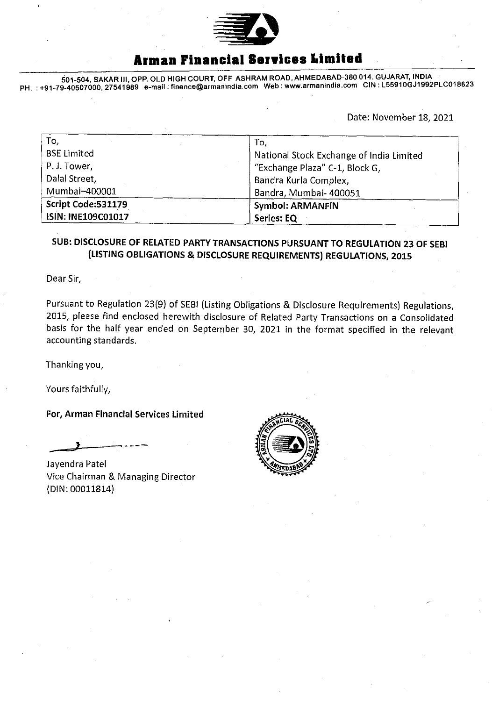

## **Armen Financial Services Limited**

501-504, SAKAR III, OPR OLD HIGH COURT, OFF ASHRAM ROAD, AHMEDABAD-380014. GUJARAT, INDIA PH. +91-79-40507000,27541989 e-mail:fin6nce@armanindia.com Web: www.armanindia.com CIN : L559100J1992PLC018623

Date: November 18, 2021

| To,                | To,                                      |  |  |  |  |
|--------------------|------------------------------------------|--|--|--|--|
| <b>BSE Limited</b> | National Stock Exchange of India Limited |  |  |  |  |
| P. J. Tower,       | "Exchange Plaza" C-1, Block G,           |  |  |  |  |
| Dalal Street,      | Bandra Kurla Complex,                    |  |  |  |  |
| Mumbai-400001      | Bandra, Mumbai- 400051                   |  |  |  |  |
| Script Code:531179 | <b>Symbol: ARMANFIN</b>                  |  |  |  |  |
| ISIN: INE109C01017 | Series: EQ                               |  |  |  |  |

### SUB: DISCLOSURE OF RELATED PARTY TRANSACTIONS PURSUANT TO REGULATION 23 or SEBI (LISTING OBLIGATIONS & DISCLOSURE REQUIREMENTS) REGULATIONS, 2015

Dear Sir,

Pursuant to Regulation 23(9) of SEBI (Listing Obligations & Disclosure Requirements) Regulations, 2015, please find enclosed herewith disclosure of Related Party Transactions on a Consolidated basis for the half year ended on September 30, 2021 in the format specified in the relevant accounting standards.

Thanking you,

Yours faithfully,

For, Arman Financial Services Limited

Jayendra Patel Vice Chairman & Managing Director (DIN: 00011814)

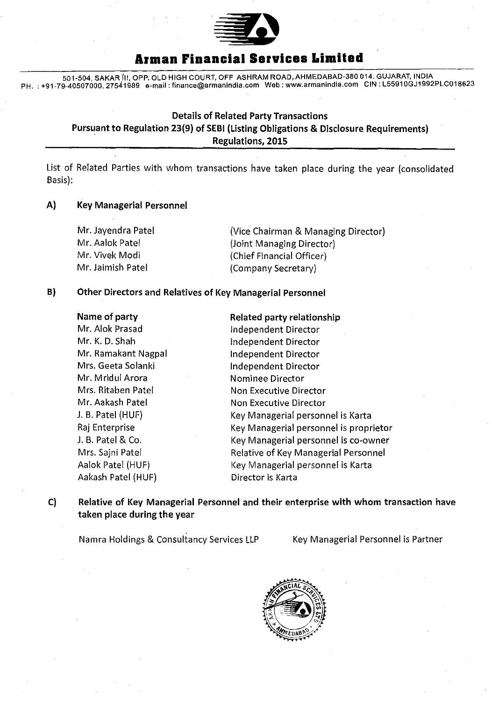

### **Armen Financial Services Limited**

501 -504, SAKAR (II, OPP. OLD HIGH COURT, OFF ASHRAM ROAD, AHMEDABAD-380 014. GUJARAT, INDIA PH. :+91-79-40507000,27541989 e-mail: finance@armanindia.com Web: www.arrnanindia.com CIN L55910GJ1992PLC018623

### Details of Related Party Transactions Pursuant to Regulation 23(9) of SEBI (Listing Obligations & Disclosure Requirements) Regulations, 2015

List of Related Parties with whom transactions have taken place during the year (consolidated Basis):

#### A) Key Managerial Personnel

| Mr. Jayendra Patel | (Vice Chairman & Managing Director)                    |  |  |
|--------------------|--------------------------------------------------------|--|--|
| Mr. Aalok Patel    | (Joint Managing Director)<br>(Chief Financial Officer) |  |  |
| Mr. Vivek Modi     |                                                        |  |  |
| Mr. Jaimish Patel  | (Company Secretary)                                    |  |  |

#### B) Other Directors and Relatives of Key Managerial Personnel

| Name of party       | <b>Related party relationship</b>      |  |  |  |
|---------------------|----------------------------------------|--|--|--|
| Mr. Alok Prasad     | Independent Director                   |  |  |  |
| Mr. K. D. Shah      | Independent Director                   |  |  |  |
| Mr. Ramakant Nagpal | Independent Director                   |  |  |  |
| Mrs. Geeta Solanki  | Independent Director                   |  |  |  |
| Mr. Mridul Arora    | <b>Nominee Director</b>                |  |  |  |
| Mrs. Ritaben Patel  | Non Executive Director                 |  |  |  |
| Mr. Aakash Patel    | Non Executive Director                 |  |  |  |
| J. B. Patel (HUF)   | Key Managerial personnel is Karta      |  |  |  |
| Raj Enterprise      | Key Managerial personnel is proprietor |  |  |  |
| J. B. Patel & Co.   | Key Managerial personnel is co-owner   |  |  |  |
| Mrs. Sajni Patel    | Relative of Key Managerial Personnel   |  |  |  |
| Aalok Patel (HUF)   | Key Managerial personnel is Karta      |  |  |  |
| Aakash Patel (HUF)  | Director is Karta                      |  |  |  |
|                     |                                        |  |  |  |

C) Relative of Key Managerial Personnel and their enterprise with whom transaction have taken place during the year

Namra Holdings & Consultancy Services LLP Key Managerial Personnel is Partner